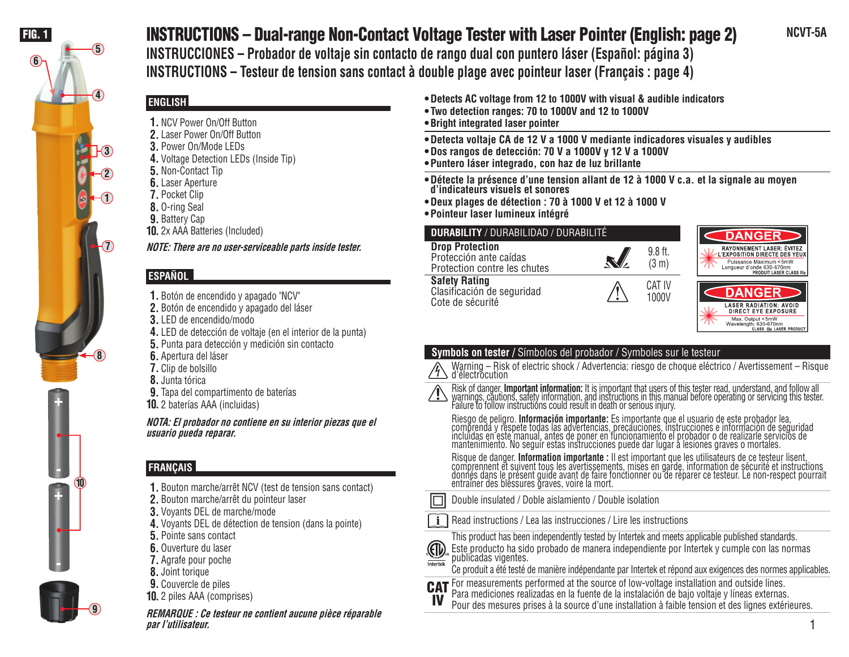

# FIG. 1 **NCVT-5A** INSTRUCTIONS – Dual-range Non-Contact Voltage Tester with Laser Pointer (English: page 2)

**INSTRUCCIONES – Probador de voltaje sin contacto de rango dual con puntero láser (Español: página 3) INSTRUCTIONS – Testeur de tension sans contact à double plage avec pointeur laser (Français : page 4)**

# **ENGLISH**

- **1.** NCV Power On/Off Button
- **2.** Laser Power On/Off Button
- **3.** Power On/Mode LEDs
- **4.** Voltage Detection LEDs (Inside Tip)
- **5.** Non-Contact Tip
- **6.** Laser Aperture
- **7.** Pocket Clip
- **8.** O-ring Seal
- **9.** Battery Cap
- **10.** 2x AAA Batteries (Included)

**NOTE: There are no user-serviceable parts inside tester.**

# **ESPAÑOL**

- **1.** Botón de encendido y apagado "NCV"
- **2.** Botón de encendido y apagado del láser
- **3.** LED de encendido/modo
- **4.** LED de detección de voltaje (en el interior de la punta)
- **5.** Punta para detección y medición sin contacto
- **6.** Apertura del láser
- **7.** Clip de bolsillo
- **8.** Junta tórica
- **9.** Tapa del compartimento de baterías
- **10.** 2 baterías AAA (incluidas)

**NOTA: El probador no contiene en su interior piezas que el usuario pueda reparar.**

# **FRANÇAIS**

- **1.** Bouton marche/arrêt NCV (test de tension sans contact)
- **2.** Bouton marche/arrêt du pointeur laser
- **3.** Voyants DEL de marche/mode
- **4.** Voyants DEL de détection de tension (dans la pointe)
- **5.** Pointe sans contact
- **6.** Ouverture du laser
- **7.** Agrafe pour poche
- **8.** Joint torique

**9**

- **9.** Couvercle de piles
- **10.** 2 piles AAA (comprises)

**REMARQUE : Ce testeur ne contient aucune pièce réparable par l'utilisateur.**

- **Detects AC voltage from 12 to 1000V with visual & audible indicators**
- **Two detection ranges: 70 to 1000V and 12 to 1000V**
- **Bright integrated laser pointer**
- **Detecta voltaje CA de 12 V a 1000 V mediante indicadores visuales y audibles**
- **Dos rangos de detección: 70 V a 1000V y 12 V a 1000V**
- **Puntero láser integrado, con haz de luz brillante**
- **Détecte la présence d'une tension allant de 12 à 1000 V c.a. et la signale au moyen d'indicateurs visuels et sonores**
- **Deux plages de détection : 70 à 1000 V et 12 à 1000 V**
- **Pointeur laser lumineux intégré**

| <b>DURABILITY / DURABILIDAD / DURABILITÉ</b>                                     |  | <b>DANGER</b>                |                                                                                                                                                              |
|----------------------------------------------------------------------------------|--|------------------------------|--------------------------------------------------------------------------------------------------------------------------------------------------------------|
| <b>Drop Protection</b><br>Protección ante caídas<br>Protection contre les chutes |  | $9.8$ ft.<br>$(3 \text{ m})$ | <b>RAYONNEMENT LASER: ÉVITEZ</b><br>L'EXPOSITION DIRECTE DES YEUX<br>Puissance Maximum <5mW<br>Lonqueur d'onde 630-670nm<br><b>PRODUIT LASER CLASS IIIa</b>  |
| <b>Safety Rating</b><br>Clasificación de seguridad<br>Cote de sécurité           |  | CAT IV<br>1000V              | <b>DANGER</b><br><b>LASER RADIATION: AVOID</b><br><b>DIRECT EYE EXPOSURE</b><br>Max. Output <5mW<br>Wavelength: 630-670nm<br><b>CLASS IIIa LASER PRODUCT</b> |

# **Symbols on tester /** Símbolos del probador / Symboles sur le testeur

Warning – Risk of electric shock / Advertencia: riesgo de choque eléctrico / Avertissement – Risque d'électrocution



(印) Intertek

Risk of danger. **Important information:** It is important that users of this tester read, understand, and follow all<br>warnings, cautions, safety information, and instructions in this manual before operating or servicing this Failure to follow instructions could result in death or serious injury.

Riesgo de peligro. **Información importante:** Es importante que el usuario de este probador lea,<br>comprenda y respete todas las advertencias, precauciones, instrucciones e información de seguridad incluidas en este manual, antes de poner en funcionamiento el probador o de realizarle servicios de mantenimiento. No seguir estas instrucciones puede dar lugar a lesiones graves o mortales.

Risque de danger. **Information importante :** Il est important que les utilisateurs de ce testeur lisent,<br>comprennent et suivent tous les avertissements, mises en garde, information de sécurité et instructions<sub>.</sub> donnés dans le présent guide avant de faire fonctionner ou de réparer ce testeur. Le non-respect pourrait entraîner des blessures graves, voire la mort.

- Double insulated / Doble aislamiento / Double isolation
- Read instructions / Lea las instrucciones / Lire les instructions



- Este producto ha sido probado de manera independiente por Intertek y cumple con las normas publicadas vigentes.
- Ce produit a été testé de manière indépendante par Intertek et répond aux exigences des normes applicables.



- IV Para mediciones realizadas en la fuente de la instalación de bajo voltaje y líneas externas.
	- Pour des mesures prises à la source d'une installation à faible tension et des lignes extérieures.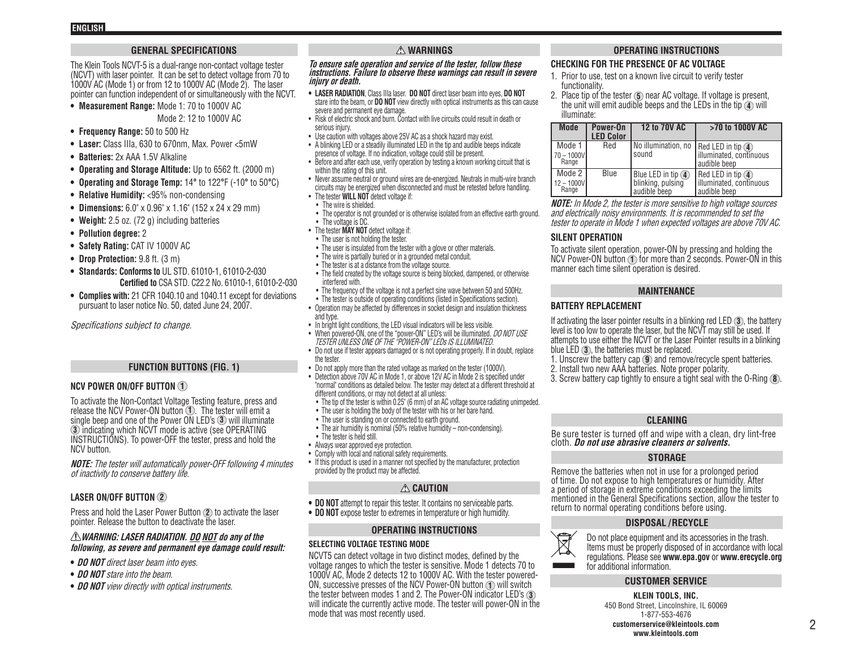### **GENERAL SPECIFICATIONS**

The Klein Tools NCVT-5 is a dual-range non-contact voltage tester (NCVT) with laser pointer. It can be set to detect voltage from 70 to 1000V AC (Mode 1) or from 12 to 1000V AC (Mode 2). The laser pointer can function independent of or simultaneously with the NCVT.

**• Measurement Range:** Mode 1: 70 to 1000V AC

Mode 2: 12 to 1000V AC

- **• Frequency Range:** 50 to 500 Hz
- **• Laser:** Class IIIa, 630 to 670nm, Max. Power <5mW
- **• Batteries:** 2x AAA 1.5V Alkaline
- **• Operating and Storage Altitude:** Up to 6562 ft. (2000 m)
- **• Operating and Storage Temp:** 14**°** to 122**°**F (-10**°** to 50**°**C)
- **• Relative Humidity:** <95% non-condensing
- **• Dimensions:** 6.0" x 0.96" x 1.16" (152 x 24 x 29 mm)
- **• Weight:** 2.5 oz. (72 g) including batteries
- **• Pollution degree:** 2
- **• Safety Rating:** CAT IV 1000V AC
- **• Drop Protection:** 9.8 ft. (3 m)
- **• Standards: Conforms to** UL STD. 61010-1, 61010-2-030 **Certified to** CSA STD. C22.2 No. 61010-1, 61010-2-030
- **• Complies with:** 21 CFR 1040.10 and 1040.11 except for deviations pursuant to laser notice No. 50, dated June 24, 2007.

Specifications subject to change.

#### **FUNCTION BUTTONS (FIG. 1)**

### **NCV POWER ON/OFF BUTTON 1**

To activate the Non-Contact Voltage Testing feature, press and release the NCV Power-ON button **1** . The tester will emit a single beep and one of the Power ON LED's **3** will illuminate **3** indicating which NCVT mode is active (see OPERATING INSTRUCTIONS). To power-OFF the tester, press and hold the NCV button.

**NOTE:** The tester will automatically power-OFF following 4 minutes of inactivity to conserve battery life.

### **LASER ON/OFF BUTTON 2**

Press and hold the Laser Power Button **2** to activate the laser pointer. Release the button to deactivate the laser.

### **WARNING: LASER RADIATION. DO NOT do any of the following, as severe and permanent eye damage could result:**

- **• DO NOT** direct laser beam into eyes.
- **• DO NOT** stare into the beam.
- **• DO NOT** view directly with optical instruments.

### **WARNINGS**

#### **To ensure safe operation and service of the tester, follow these instructions. Failure to observe these warnings can result in severe injury or death.**

- **• LASER RADIATION**, Class IIIa laser. **DO NOT** direct laser beam into eyes, **DO NOT** stare into the beam, or **DO NOT** view directly with optical instruments as this can cause severe and permanent eye damage.
- Risk of electric shock and burn. Contact with live circuits could result in death or serious injury.
- Use caution with voltages above 25V AC as a shock hazard may exist.
- A blinking LED or a steadily illuminated LED in the tip and audible beeps indicate presence of voltage. If no indication, voltage could still be present.
- Before and after each use, verify operation by testing a known working circuit that is within the rating of this unit.
- Never assume neutral or ground wires are de-energized. Neutrals in multi-wire branch circuits may be energized when disconnected and must be retested before handling.
- The tester **WILL NOT** detect voltage if:
- The wire is shielded.
- The operator is not grounded or is otherwise isolated from an effective earth ground. • The voltage is DC.
- The tester **MAY NOT** detect voltage if:
- The user is not holding the tester.
- The user is insulated from the tester with a glove or other materials.
- The wire is partially buried or in a grounded metal conduit. • The tester is at a distance from the voltage source.
- The field created by the voltage source is being blocked, dampened, or otherwise interfered with.
- The frequency of the voltage is not a perfect sine wave between 50 and 500Hz. • The tester is outside of operating conditions (listed in Specifications section).
- Operation may be affected by differences in socket design and insulation thickness and type.
- In bright light conditions, the LED visual indicators will be less visible.
- When powered-ON, one of the "power-ON" LED's will be illuminated. DO NOT USE TESTER UNLESS ONE OF THE "POWER-ON" LEDs IS ILLUMINATED.
- Do not use if tester appears damaged or is not operating properly. If in doubt, replace the tester.
- Do not apply more than the rated voltage as marked on the tester (1000V).
- Detection above 70V AC in Mode 1, or above 12V AC in Mode 2 is specified under "normal" conditions as detailed below. The tester may detect at a different threshold at different conditions, or may not detect at all unless:
- The tip of the tester is within 0.25" (6 mm) of an AC voltage source radiating unimpeded.
- The user is holding the body of the tester with his or her bare hand.
- The user is standing on or connected to earth ground.
- The air humidity is nominal (50% relative humidity non-condensing). • The tester is held still.
- Always wear approved eye protection.
- Comply with local and national safety requirements.
- If this product is used in a manner not specified by the manufacturer, protection provided by the product may be affected.

### **CAUTION**

- **• DO NOT** attempt to repair this tester. It contains no serviceable parts.
- **• DO NOT** expose tester to extremes in temperature or high humidity.

#### **OPERATING INSTRUCTIONS**

#### **SELECTING VOLTAGE TESTING MODE**

NCVT5 can detect voltage in two distinct modes, defined by the voltage ranges to which the tester is sensitive. Mode 1 detects 70 to 1000V AC, Mode 2 detects 12 to 1000V AC. With the tester powered-ON, successive presses of the NCV Power-ON button **1** will switch the tester between modes 1 and 2. The Power-ON indicator LED's **3** will indicate the currently active mode. The tester will power-ON in the mode that was most recently used.

### **OPERATING INSTRUCTIONS**

### **CHECKING FOR THE PRESENCE OF AC VOLTAGE**

- 1. Prior to use, test on a known live circuit to verify tester functionality.
- 2. Place tip of the tester **5** near AC voltage. If voltage is present, the unit will emit audible beeps and the LEDs in the tip **4** will illuminate:

| <b>Mode</b>                            | Power-On<br><b>LED Color</b> | 12 to 70V AC                                                     | >70 to 1000V AC                                                      |
|----------------------------------------|------------------------------|------------------------------------------------------------------|----------------------------------------------------------------------|
| Mode 1<br>70 – 1000V <b>I</b><br>Range | Red                          | No illumination, no Red LED in tip 4<br>sound                    | illuminated, continuous<br>audible beep                              |
| Mode 2<br>$12 - 1000V$<br>Range        | Blue                         | Blue LED in tip $\left($ 4)<br>blinking, pulsing<br>audible beep | $Red$ LED in tip $\left($<br>Illuminated, continuous<br>audible beep |

**NOTE:** In Mode 2, the tester is more sensitive to high voltage sources and electrically noisy environments. It is recommended to set the tester to operate in Mode 1 when expected voltages are above 70V AC.

### **SILENT OPERATION**

To activate silent operation, power-ON by pressing and holding the NCV Power-ON button **1** for more than 2 seconds. Power-ON in this manner each time silent operation is desired.

#### **MAINTENANCE**

### **BATTERY REPLACEMENT**

If activating the laser pointer results in a blinking red LED **3** , the battery level is too low to operate the laser, but the NCVT may still be used. If attempts to use either the NCVT or the Laser Pointer results in a blinking blue LED **3** , the batteries must be replaced.

- 1. Unscrew the battery cap **9** and remove/recycle spent batteries.
- 2. Install two new AAA batteries. Note proper polarity.
- 3. Screw battery cap tightly to ensure a tight seal with the O-Ring **8** .

#### **CLEANING**

Be sure tester is turned off and wipe with a clean, dry lint-free cloth. **Do not use abrasive cleaners or solvents.**

#### **STORAGE**

Remove the batteries when not in use for a prolonged period of time. Do not expose to high temperatures or humidity. After a period of storage in extreme conditions exceeding the limits mentioned in the General Specifications section, allow the tester to return to normal operating conditions before using.

#### **DISPOSAL / RECYCLE**



Do not place equipment and its accessories in the trash. Items must be properly disposed of in accordance with local regulations. Please see **www.epa.gov** or **www.erecycle.org** for additional information.

### **CUSTOMER SERVICE**

**KLEIN TOOLS, INC.** 450 Bond Street, Lincolnshire, IL 60069 1-877-553-4676 **customerservice@kleintools.com www.kleintools.com**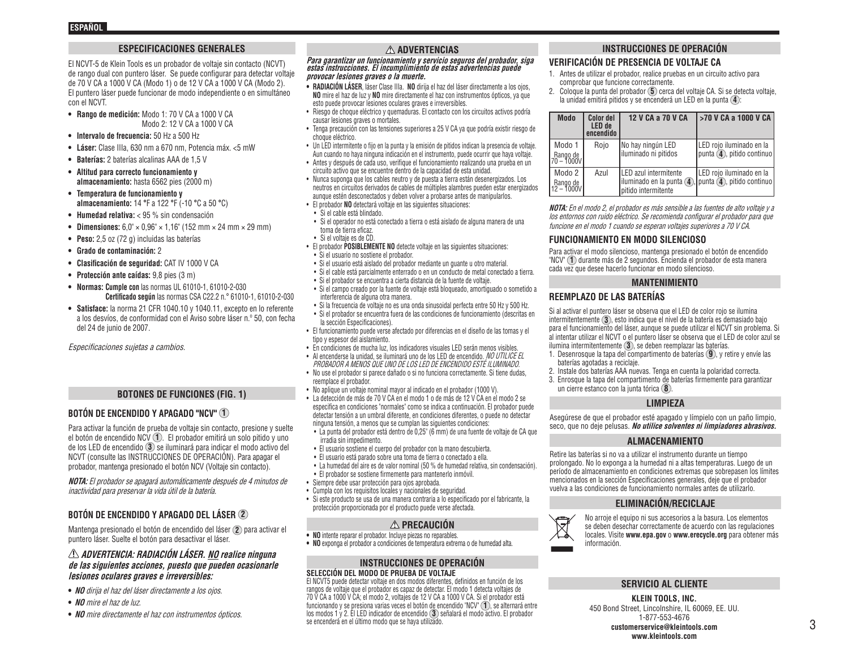### **ESPECIFICACIONES GENERALES**

El NCVT-5 de Klein Tools es un probador de voltaje sin contacto (NCVT) de rango dual con puntero láser. Se puede configurar para detectar voltaje de 70 V CA a 1000 V CA (Modo 1) o de 12 V CA a 1000 V CA (Modo 2). El puntero láser puede funcionar de modo independiente o en simultáneo con el NCVT.

- **• Rango de medición:** Modo 1: 70 V CA a 1000 V CA Modo 2: 12 V CA a 1000 V CA
- **• Intervalo de frecuencia:** 50 Hz a 500 Hz
- **• Láser:** Clase IIIa, 630 nm a 670 nm, Potencia máx. <5 mW
- **• Baterías:** 2 baterías alcalinas AAA de 1,5 V
- **• Altitud para correcto funcionamiento y almacenamiento:** hasta 6562 pies (2000 m)
- **• Temperatura de funcionamiento y almacenamiento:** 14 **°**F a 122 **°**F (-10 **°**C a 50 **°**C)
- **• Humedad relativa:** < 95 % sin condensación
- **• Dimensiones:** 6,0" × 0,96" × 1,16" (152 mm × 24 mm × 29 mm)
- **• Peso:** 2,5 oz (72 g) incluidas las baterías
- **• Grado de contaminación:** 2
- **• Clasificación de seguridad:** CAT IV 1000 V CA
- **• Protección ante caídas:** 9,8 pies (3 m)
- **• Normas: Cumple con** las normas UL 61010-1, 61010-2-030 **Certificado según** las normas CSA C22.2 n.° 61010-1, 61010-2-030
- **• Satisface:** la norma 21 CFR 1040.10 y 1040.11, excepto en lo referente a los desvíos, de conformidad con el Aviso sobre láser n.º 50, con fecha del 24 de junio de 2007.

Especificaciones sujetas a cambios.

### **BOTONES DE FUNCIONES (FIG. 1)**

### **BOTÓN DE ENCENDIDO Y APAGADO "NCV" 1**

Para activar la función de prueba de voltaje sin contacto, presione y suelte el botón de encendido NCV **1** . El probador emitirá un solo pitido y uno de los LED de encendido **3** se iluminará para indicar el modo activo del NCVT (consulte las INSTRUCCIONES DE OPERACIÓN). Para apagar el probador, mantenga presionado el botón NCV (Voltaje sin contacto).

**NOTA:** El probador se apagará automáticamente después de 4 minutos de inactividad para preservar la vida útil de la batería.

### **BOTÓN DE ENCENDIDO Y APAGADO DEL LÁSER 2**

Mantenga presionado el botón de encendido del láser **2** para activar el puntero láser. Suelte el botón para desactivar el láser.

#### **ADVERTENCIA: RADIACIÓN LÁSER. NO realice ninguna de las siguientes acciones, puesto que pueden ocasionarle lesiones oculares graves e irreversibles:**

- **• NO** dirija el haz del láser directamente a los ojos.
- **• NO** mire el haz de luz.
- **• NO** mire directamente el haz con instrumentos ópticos.

### **ADVERTENCIAS**

**Para garantizar un funcionamiento y servicio seguros del probador, siga estas instrucciones. El incumplimiento de estas advertencias puede provocar lesiones graves o la muerte.**

- **• RADIACIÓN LÁSER**, láser Clase IIIa. **NO** dirija el haz del láser directamente a los ojos, **NO** mire el haz de luz y **NO** mire directamente el haz con instrumentos ópticos, ya que esto puede provocar lesiones oculares graves e irreversibles.
- Riesgo de choque eléctrico y quemaduras. El contacto con los circuitos activos podría causar lesiones graves o mortales.
- Tenga precaución con las tensiones superiores a 25 V CA ya que podría existir riesgo de choque eléctrico.
- Un LED intermitente o fijo en la punta y la emisión de pitidos indican la presencia de voltaje. Aun cuando no haya ninguna indicación en el instrumento, puede ocurrir que haya voltaje.
- Antes y después de cada uso, verifique el funcionamiento realizando una prueba en un circuito activo que se encuentre dentro de la capacidad de esta unidad.
- Nunca suponga que los cables neutro y de puesta a tierra están desenergizados. Los neutros en circuitos derivados de cables de múltiples alambres pueden estar energizados aunque estén desconectados y deben volver a probarse antes de manipularlos.
- El probador **NO** detectará voltaje en las siguientes situaciones:
- Si el cable está blindado.
- Si el operador no está conectado a tierra o está aislado de alguna manera de una toma de tierra eficaz.
- Si el voltaje es de CD.
- El probador **POSIBLEMENTE NO** detecte voltaje en las siguientes situaciones:
- Si el usuario no sostiene el probador.
- Si el usuario está aislado del probador mediante un guante u otro material.
- Si el cable está parcialmente enterrado o en un conducto de metal conectado a tierra.
- Si el probador se encuentra a cierta distancia de la fuente de voltaje.
- Si el campo creado por la fuente de voltaje está bloqueado, amortiguado o sometido a interferencia de alguna otra manera.
- Si la frecuencia de voltaje no es una onda sinusoidal perfecta entre 50 Hz y 500 Hz. • Si el probador se encuentra fuera de las condiciones de funcionamiento (descritas en la sección Especificaciones).
- El funcionamiento puede verse afectado por diferencias en el diseño de las tomas y el tipo y espesor del aislamiento.
- En condiciones de mucha luz, los indicadores visuales LED serán menos visibles.
- Al encenderse la unidad, se iluminará uno de los LED de encendido. NO UTILICE EL PROBADOR A MENOS QUE UNO DE LOS LED DE ENCENDIDO ESTÉ ILUMINADO.
- No use el probador si parece dañado o si no funciona correctamente. Si tiene dudas, reemplace el probador.
- No aplique un voltaje nominal mayor al indicado en el probador (1000 V).
- La detección de más de 70 V CA en el modo 1 o de más de 12 V CA en el modo 2 se especifica en condiciones "normales" como se indica a continuación. El probador puede detectar tensión a un umbral diferente, en condiciones diferentes, o puede no detectar ninguna tensión, a menos que se cumplan las siguientes condiciones:
- La punta del probador está dentro de 0,25" (6 mm) de una fuente de voltaje de CA que irradia sin impedimento.
- El usuario sostiene el cuerpo del probador con la mano descubierta.
- El usuario está parado sobre una toma de tierra o conectado a ella.
	- La humedad del aire es de valor nominal (50 % de humedad relativa, sin condensación).
	- El probador se sostiene firmemente para mantenerlo inmóvil.
- Siempre debe usar protección para ojos aprobada.
- Cumpla con los requisitos locales y nacionales de seguridad.
- Si este producto se usa de una manera contraria a lo especificado por el fabricante, la protección proporcionada por el producto puede verse afectada.

- **PRECAUCIÓN • NO** intente reparar el probador. Incluye piezas no reparables.
- **• NO** exponga el probador a condiciones de temperatura extrema o de humedad alta.

#### **INSTRUCCIONES DE OPERACIÓN SELECCIÓN DEL MODO DE PRUEBA DE VOLTAJE**

El NCVT5 puede detectar voltaje en dos modos diferentes, definidos en función de los rangos de voltaje que el probador es capaz de detectar. El modo 1 detecta voltajes de 70 V CA a 1000 V CA; el modo 2, voltajes de 12 V CA a 1000 V CA. Si el probador está funcionando y se presiona varias veces el botón de encendido "NCV" **1** , se alternará entre los modos 1 y 2. El LED indicador de encendido **3** señalará el modo activo. El probador se encenderá en el último modo que se haya utilizado.

# **INSTRUCCIONES DE OPERACIÓN**

## **VERIFICACIÓN DE PRESENCIA DE VOLTAJE CA**

- 1. Antes de utilizar el probador, realice pruebas en un circuito activo para comprobar que funcione correctamente.
- 2. Coloque la punta del probador **5** cerca del voltaje CA. Si se detecta voltaje, la unidad emitirá pitidos y se encenderá un LED en la punta **4** :

| <b>Modo</b>                      | <b>Color del</b><br>LED de<br>encendido | 12 V CA a 70 V CA                                                                  | I >70 V CA a 1000 V CA                                 |
|----------------------------------|-----------------------------------------|------------------------------------------------------------------------------------|--------------------------------------------------------|
| Modo 1<br>Rango de<br>70 - 1000V | Roio                                    | No hay ningún LED<br>liluminado ni pitidos                                         | LED rojo iluminado en la<br>punta (4), pitido continuo |
| Modo 2<br>Rango de<br>12 - 1000V | Azul                                    | <b>ILED</b> azul intermitente<br>liluminado en la punta (4)<br>pitido intermitente | LED rojo iluminado en la<br>punta (4), pitido continuo |

**NOTA:** En el modo 2, el probador es más sensible a las fuentes de alto voltaje y a los entornos con ruido eléctrico. Se recomienda configurar el probador para que funcione en el modo 1 cuando se esperan voltajes superiores a 70 V CA.

#### **FUNCIONAMIENTO EN MODO SILENCIOSO**

Para activar el modo silencioso, mantenga presionado el botón de encendido "NCV" **1** durante más de 2 segundos. Encienda el probador de esta manera cada vez que desee hacerlo funcionar en modo silencioso.

#### **MANTENIMIENTO**

### **REEMPLAZO DE LAS BATERÍAS**

Si al activar el puntero láser se observa que el LED de color rojo se ilumina intermitentemente **3** , esto indica que el nivel de la batería es demasiado bajo para el funcionamiento del láser, aunque se puede utilizar el NCVT sin problema. Si al intentar utilizar el NCVT o el puntero láser se observa que el LED de color azul se ilumina intermitentemente **3** , se deben reemplazar las baterías.

- 1. Desenrosque la tapa del compartimento de baterías **9** , y retire y envíe las baterías agotadas a reciclaje.
- 2. Instale dos baterías AAA nuevas. Tenga en cuenta la polaridad correcta.
- 3. Enrosque la tapa del compartimento de baterías firmemente para garantizar un cierre estanco con la junta tórica **8** .

#### **LIMPIEZA**

Asegúrese de que el probador esté apagado y límpielo con un paño limpio, seco, que no deje pelusas. **No utilice solventes ni limpiadores abrasivos.**

#### **ALMACENAMIENTO**

Retire las baterías si no va a utilizar el instrumento durante un tiempo prolongado. No lo exponga a la humedad ni a altas temperaturas. Luego de un período de almacenamiento en condiciones extremas que sobrepasen los límites mencionados en la sección Especificaciones generales, deje que el probador vuelva a las condiciones de funcionamiento normales antes de utilizarlo.

#### **ELIMINACIÓN/RECICLAJE**



No arroje el equipo ni sus accesorios a la basura. Los elementos se deben desechar correctamente de acuerdo con las regulaciones locales. Visite **www.epa.gov** o **www.erecycle.org** para obtener más información.

### **SERVICIO AL CLIENTE**

**KLEIN TOOLS, INC.** 450 Bond Street, Lincolnshire, IL 60069, EE. UU. 1-877-553-4676 **customerservice@kleintools.com www.kleintools.com**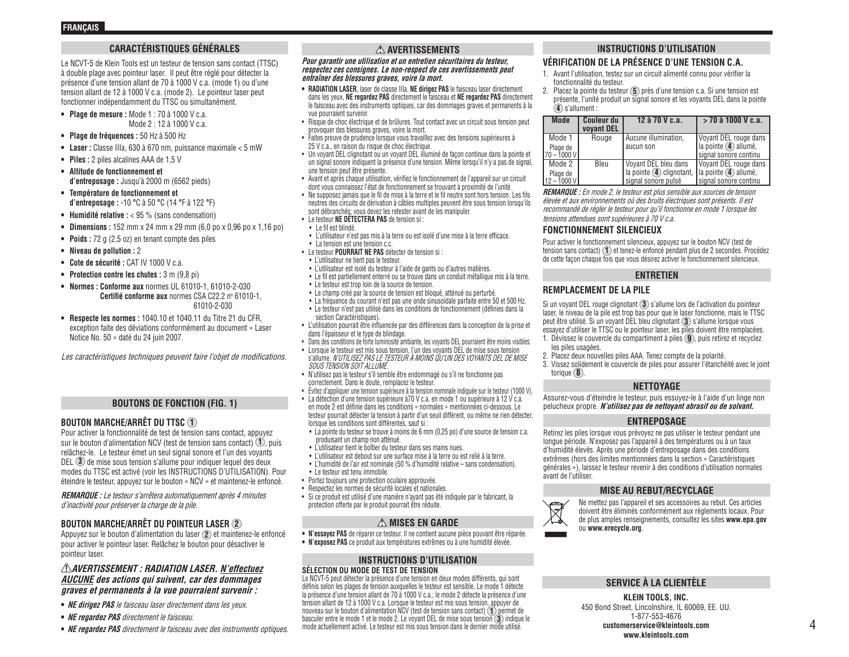### **CARACTÉRISTIQUES GÉNÉRALES**

Le NCVT-5 de Klein Tools est un testeur de tension sans contact (TTSC) à double plage avec pointeur laser. Il peut être réglé pour détecter la présence d'une tension allant de 70 à 1000 V c.a. (mode 1) ou d'une tension allant de 12 à 1000 V c.a. (mode 2). Le pointeur laser peut fonctionner indépendamment du TTSC ou simultanément.

- **• Plage de mesure :** Mode 1 : 70 à 1000 V c.a. Mode 2 : 12 à 1000 V c.a.
- **• Plage de fréquences :** 50 Hz à 500 Hz
- **• Laser :** Classe IIIa, 630 à 670 nm, puissance maximale < 5 mW
- **• Piles :** 2 piles alcalines AAA de 1,5 V
- **• Altitude de fonctionnement et d'entreposage :** Jusqu'à 2000 m (6562 pieds)
- **• Température de fonctionnement et d'entreposage :** -10 **°**C à 50 **°**C (14 **°**F à 122 **°**F)
- **• Humidité relative :** < 95 % (sans condensation)
- **• Dimensions :** 152 mm x 24 mm x 29 mm (6,0 po x 0,96 po x 1,16 po)
- **• Poids :** 72 g (2,5 oz) en tenant compte des piles
- **• Niveau de pollution :** 2
- **• Cote de sécurité :** CAT IV 1000 V c.a.
- **• Protection contre les chutes :** 3 m (9,8 pi)
- **• Normes : Conforme aux** normes UL 61010-1, 61010-2-030 **Certifié conforme aux** normes CSA C22.2 nº 61010-1, 61010-2-030
- **• Respecte les normes :** 1040.10 et 1040.11 du Titre 21 du CFR, exception faite des déviations conformément au document « Laser Notice No. 50 » daté du 24 juin 2007.

Les caractéristiques techniques peuvent faire l'objet de modifications.

#### **BOUTONS DE FONCTION (FIG. 1)**

### **BOUTON MARCHE/ARRÊT DU TTSC 1**

Pour activer la fonctionnalité de test de tension sans contact, appuyez sur le bouton d'alimentation NCV (test de tension sans contact) **1** , puis relâchez-le. Le testeur émet un seul signal sonore et l'un des voyants DEL **3** de mise sous tension s'allume pour indiquer lequel des deux modes du TTSC est activé (voir les INSTRUCTIONS D'UTILISATION). Pour éteindre le testeur, appuyez sur le bouton « NCV » et maintenez-le enfoncé.

**REMARQUE :** Le testeur s'arrêtera automatiquement après 4 minutes d'inactivité pour préserver la charge de la pile.

### **BOUTON MARCHE/ARRÊT DU POINTEUR LASER 2**

Appuyez sur le bouton d'alimentation du laser **2** et maintenez-le enfoncé pour activer le pointeur laser. Relâchez le bouton pour désactiver le pointeur laser.

#### **AVERTISSEMENT : RADIATION LASER. N'effectuez AUCUNE des actions qui suivent, car des dommages graves et permanents à la vue pourraient survenir :**

- **• NE dirigez PAS** le faisceau laser directement dans les yeux.
- **• NE regardez PAS** directement le faisceau.
- **• NE regardez PAS** directement le faisceau avec des instruments optiques.

### **AVERTISSEMENTS**

#### **Pour garantir une utilisation et un entretien sécuritaires du testeur, respectez ces consignes. Le non-respect de ces avertissements peut entraîner des blessures graves, voire la mort.**

- **• RADIATION LASER**, laser de classe IIIa. **NE dirigez PAS** le faisceau laser directement dans les yeux, **NE regardez PAS** directement le faisceau et **NE regardez PAS** directement le faisceau avec des instruments optiques, car des dommages graves et permanents à la vue pourraient survenir.
- Risque de choc électrique et de brûlures. Tout contact avec un circuit sous tension peut provoquer des blessures graves, voire la mort.
- Faites preuve de prudence lorsque vous travaillez avec des tensions supérieures à 25 V c.a., en raison du risque de choc électrique.
- Un voyant DEL clignotant ou un voyant DEL illuminé de façon continue dans la pointe et un signal sonore indiquent la présence d'une tension. Même lorsqu'il n'y a pas de signal, une tension peut être présente.
- Avant et après chaque utilisation, vérifiez le fonctionnement de l'appareil sur un circuit dont vous connaissez l'état de fonctionnement se trouvant à proximité de l'unité.
- Ne supposez jamais que le fil de mise à la terre et le fil neutre sont hors tension. Les fils neutres des circuits de dérivation à câbles multiples peuvent être sous tension lorsqu'ils sont débranchés; vous devez les retester avant de les manipuler.
- Le testeur **NE DÉTECTERA PAS** de tension si :
- Le fil est blindé.
- L'utilisateur n'est pas mis à la terre ou est isolé d'une mise à la terre efficace.
- La tension est une tension c.c. • Le testeur **POURRAIT NE PAS** détecter de tension si :
- L'utilisateur ne tient pas le testeur.
- L'utilisateur est isolé du testeur à l'aide de gants ou d'autres matières.
- Le fil est partiellement enterré ou se trouve dans un conduit métallique mis à la terre.
- Le testeur est trop loin de la source de tension.
- Le champ créé par la source de tension est bloqué, atténué ou perturbé.
- La fréquence du courant n'est pas une onde sinusoïdale parfaite entre 50 et 500 Hz.
- Le testeur n'est pas utilisé dans les conditions de fonctionnement (définies dans la section Caractéristiques).
- L'utilisation pourrait être influencée par des différences dans la conception de la prise et dans l'épaisseur et le type de blindage.
- Dans des conditions de forte luminosité ambiante, les voyants DEL pourraient être moins visibles.
- Lorsque le testeur est mis sous tension, l'un des voyants DEL de mise sous tension s'allume. N'UTILISEZ PAS LE TESTEUR À MOINS QU'UN DES VOYANTS DEL DE MISE SOUS TENSION SOIT ALLUMÉ.
- N'utilisez pas le testeur s'il semble être endommagé ou s'il ne fonctionne pas correctement. Dans le doute, remplacez le testeur.
- Évitez d'appliquer une tension supérieure à la tension nominale indiquée sur le testeur (1000 V).
- La détection d'une tension supérieure à70 V c.a. en mode 1 ou supérieure à 12 V c.a. en mode 2 est définie dans les conditions « normales » mentionnées ci-dessous. Le testeur pourrait détecter la tension à partir d'un seuil différent, ou même ne rien détecter, lorsque les conditions sont différentes, sauf si :
- La pointe du testeur se trouve à moins de 6 mm (0,25 po) d'une source de tension c.a. produisant un champ non atténué.
- L'utilisateur tient le boîtier du testeur dans ses mains nues.
- L'utilisateur est debout sur une surface mise à la terre ou est relié à la terre. • L'humidité de l'air est nominale (50 % d'humidité relative – sans condensation).
	- Le testeur est tenu immobile.
- Portez toujours une protection oculaire approuvée.
- Respectez les normes de sécurité locales et nationales.
- Si ce produit est utilisé d'une manière n'ayant pas été indiquée par le fabricant, la protection offerte par le produit pourrait être réduite.

### **AMISES EN GARDE**

- **• N'essayez PAS** de réparer ce testeur. Il ne contient aucune pièce pouvant être réparée.
- **• N'exposez PAS** ce produit aux températures extrêmes ou à une humidité élevée.

#### **INSTRUCTIONS D'UTILISATION SÉLECTION DU MODE DE TEST DE TENSION**

Le NCVT-5 peut détecter la présence d'une tension en deux modes différents, qui sont définis selon les plages de tension auxquelles le testeur est sensible. Le mode 1 détecte la présence d'une tension allant de 70 à 1000 V c.a.; le mode 2 détecte la présence d'une tension allant de 12 à 1000 V c.a. Lorsque le testeur est mis sous tension, appuyer de nouveau sur le bouton d'alimentation NCV (test de tension sans contact) **1** permet de basculer entre le mode 1 et le mode 2. Le voyant DEL de mise sous tension **3** indique le mode actuellement activé. Le testeur est mis sous tension dans le dernier mode utilisé.

### **INSTRUCTIONS D'UTILISATION**

### **VÉRIFICATION DE LA PRÉSENCE D'UNE TENSION C.A.**

- 1. Avant l'utilisation, testez sur un circuit alimenté connu pour vérifier la fonctionnalité du testeur.
- 2. Placez la pointe du testeur **5** près d'une tension c.a. Si une tension est présente, l'unité produit un signal sonore et les voyants DEL dans la pointe **4** s'allument :

| <b>Mode</b>               | <b>Couleur du</b><br>vovant DEL | 12 à 70 V c.a.                                 | $>$ 70 à 1000 V c.a.                                     |
|---------------------------|---------------------------------|------------------------------------------------|----------------------------------------------------------|
| Mode 1                    | Rouge                           | Aucune illumination,                           | Voyant DEL rouge dans                                    |
| Plage de<br>$70 - 1000$ V |                                 | aucun son                                      | la pointe $\left($ 4) allumé,<br>signal sonore continu   |
| Mode 2                    | Bleu                            | Voyant DEL bleu dans                           | Voyant DEL rouge dans                                    |
| Plage de<br>$12 - 1000$ V |                                 | la pointe 4 clignotant,<br>signal sonore pulsé | $la$ pointe $\left($ 4) allumé,<br>signal sonore continu |

**REMARQUE :** En mode 2, le testeur est plus sensible aux sources de tension élevée et aux environnements où des bruits électriques sont présents. Il est recommandé de régler le testeur pour qu'il fonctionne en mode 1 lorsque les tensions attendues sont supérieures à 70 V c.a.

#### **FONCTIONNEMENT SILENCIEUX**

Pour activer le fonctionnement silencieux, appuyez sur le bouton NCV (test de tension sans contact) **1** et tenez-le enfoncé pendant plus de 2 secondes. Procédez de cette façon chaque fois que vous désirez activer le fonctionnement silencieux.

### **ENTRETIEN**

### **REMPLACEMENT DE LA PILE**

Si un voyant DEL rouge clignotant **3** s'allume lors de l'activation du pointeur laser, le niveau de la pile est trop bas pour que le laser fonctionne, mais le TTSC peut être utilisé. Si un voyant DEL bleu clignotant **3** s'allume lorsque vous essayez d'utiliser le TTSC ou le pointeur laser, les piles doivent être remplacées.

- 1. Dévissez le couvercle du compartiment à piles **9** , puis retirez et recyclez les piles usagées.
- 2. Placez deux nouvelles piles AAA. Tenez compte de la polarité.
- 3. Vissez solidement le couvercle de piles pour assurer l'étanchéité avec le joint torique **8** .

### **NETTOYAGE**

Assurez-vous d'éteindre le testeur, puis essuyez-le à l'aide d'un linge non pelucheux propre. **N'utilisez pas de nettoyant abrasif ou de solvant.**

#### **ENTREPOSAGE**

Retirez les piles lorsque vous prévoyez ne pas utiliser le testeur pendant une longue période. N'exposez pas l'appareil à des températures ou à un taux d'humidité élevés. Après une période d'entreposage dans des conditions extrêmes (hors des limites mentionnées dans la section « Caractéristiques générales »), laissez le testeur revenir à des conditions d'utilisation normales avant de l'utiliser.

#### **MISE AU REBUT/RECYCLAGE**



Ne mettez pas l'appareil et ses accessoires au rebut. Ces articles doivent être éliminés conformément aux règlements locaux. Pour de plus amples renseignements, consultez les sites **www.epa.gov** ou **www.erecycle.org**.

### **SERVICE À LA CLIENTÈLE**

**KLEIN TOOLS, INC.** 450 Bond Street, Lincolnshire, IL 60069, EE. UU. 1-877-553-4676 **customerservice@kleintools.com www.kleintools.com**